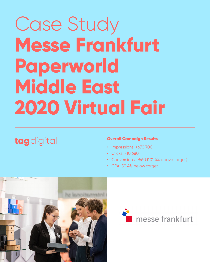# Case Study **Messe Frankfurt Paperworld Middle East**

## **2020 Virtual Fair**

## tagdigital

#### **Overall Campaign Results**

- Impressions: >670,700
- Clicks: >10,680
- Conversions: >560 (101.4% above target)
- CPA: 50.4% below target





![](_page_0_Picture_10.jpeg)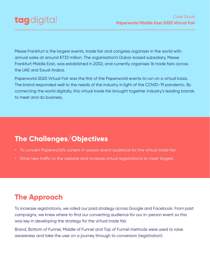Messe Frankfurt is the largest events, trade fair and congress organiser in the world with annual sales at around €733 million. The organisation's Dubai-based subsidiary, Messe Frankfurt Middle East, was established in 2002, and currently organises 16 trade fairs across the UAE and Saudi Arabia.

Paperworld 2020 Virtual Fair was the first of the Paperworld events to run on a virtual basis. The brand responded well to the needs of the industry in light of the COVID-19 pandemic. By connecting the world digitally, this virtual trade fair brought together industry's leading brands

#### to meet and do business.

- To convert Paperworld's current in-person event audience for the virtual trade fair
- Drive new traffic to the website and increase virtual registrations to meet targets

## **The Challenges/Objectives**

To increase registrations, we rolled our paid strategy across Google and Facebook. From past campaigns, we knew where to find our converting audience for our in-person event so this was key in developing the strategy for the virtual trade fair.

Brand, Bottom of Funnel, Middle of Funnel and Top of Funnel methods were used to raise awareness and take the user on a journey through to conversion (registration).

## **The Approach**

![](_page_1_Picture_0.jpeg)

### Case Study **Paperworld Middle East 2020 Virtual Fair**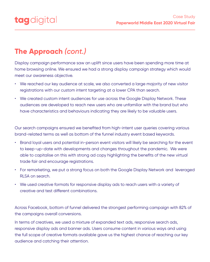![](_page_2_Picture_0.jpeg)

Case Study **Paperworld Middle East 2020 Virtual Fair**

Display campaign performance saw an uplift since users have been spending more time at home browsing online. We ensured we had a strong display campaign strategy which would meet our awareness objective.

- Brand loyal users and potential in-person event visitors will likely be searching for the event to keep-up-date with developments and changes throughout the pandemic. We were able to capitalise on this with strong ad copy highlighting the benefits of the new virtual trade fair and encourage registrations.
- For remarketing, we put a strong focus on both the Google Display Network and leveraged RLSA on search.
- We used creative formats for responsive display ads to reach users with a variety of
- We reached our key audience at scale, we also converted a large majority of new visitor registrations with our custom intent targeting at a lower CPA than search.
- We created custom intent audiences for use across the Google Display Network. These audiences are developed to reach new users who are unfamiliar with the brand but who have characteristics and behaviours indicating they are likely to be valuable users.

Our search campaigns ensured we benefited from high-intent user queries covering various brand-related terms as well as bottom of the funnel industry event based keywords.

In terms of creatives, we used a mixture of expanded text ads, responsive search ads, responsive display ads and banner ads. Users consume content in various ways and using the full scope of creative formats available gave us the highest chance of reaching our key audience and catching their attention.

creative and test different combinations.

Across Facebook, bottom of funnel delivered the strongest performing campaign with 82% of the campaigns overall conversions.

## **The Approach** *(cont.)*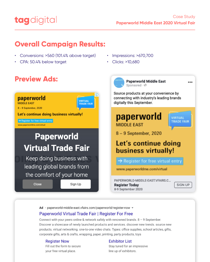![](_page_3_Picture_0.jpeg)

### **Case Study Paperworld Middle East 2020 Virtual Fair**

## **Overall Campaign Results:**

- Conversions: >560 (101.4% above target)  $\bullet$
- CPA: 50.4% below target  $\bullet$
- Impressions: >670,700  $\bullet$
- Clicks: >10,680  $\bullet$

![](_page_3_Picture_7.jpeg)

![](_page_3_Picture_8.jpeg)

Source products at your convenience by connecting with industry's leading brands digitally this September.

## paperworld **MIDDLE EAST**

![](_page_3_Picture_11.jpeg)

8 - 9 September, 2020

Let's continue doing business virtually!

Register for free virtual entry

www.paperworldme.com/virtual

## Paperworld **Virtual Trade Fair** Keep doing business with leading global brands from the comfort of your home

**Close** 

Sign Up

## paperworld **MIDDLE EAST**

![](_page_3_Picture_20.jpeg)

**SIGN UP** 

...

 $8 - 9$  September, 2020

## Let's continue doing business virtually!

→ Register for free virtual entry

www.paperworldme.com/virtual

PAPERWORLD-MIDDLE-EAST.VFAIRS.C... **Register Today** 

![](_page_3_Picture_26.jpeg)

#### Ad · paperworld-middle-east.vfairs.com/paperworld/register-now  $\blacktriangledown$

## **Paperworld Virtual Trade Fair | Register For Free**

Connect with your peers online & network safely with renowned brands.  $8 - 9$  September. Discover a showcase of newly launched products and services. discover new trends. source new products. virtual networking. one-to-one video chats. Types: office supplies, school articles, gifts, corporate gifts, arts & crafts, wrapping, paper, printing, party products, toys

#### **Register Now**

Fill out the form to secure your free virtual place.

#### **Exhibitor List**

Stay tuned for an impressive line up of exhibitors.